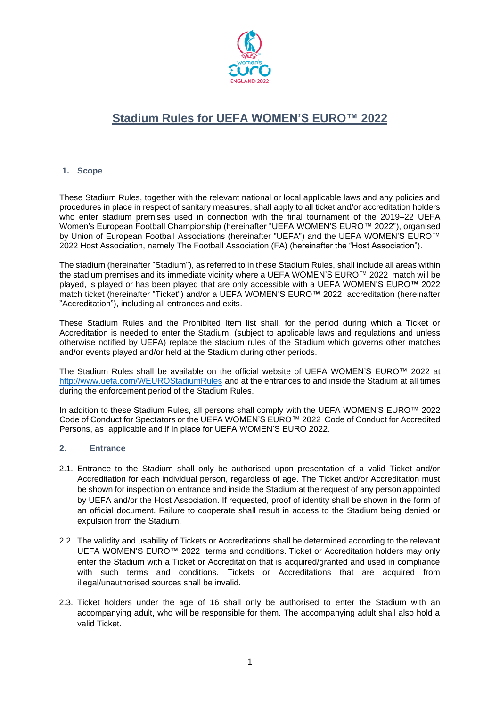

# **Stadium Rules for UEFA WOMEN'S EURO™ 2022**

# **1. Scope**

These Stadium Rules, together with the relevant national or local applicable laws and any policies and procedures in place in respect of sanitary measures, shall apply to all ticket and/or accreditation holders who enter stadium premises used in connection with the final tournament of the 2019–22 UEFA Women's European Football Championship (hereinafter "UEFA WOMEN'S EURO™ 2022"), organised by Union of European Football Associations (hereinafter "UEFA") and the UEFA WOMEN'S EURO™ 2022 Host Association, namely The Football Association (FA) (hereinafter the "Host Association").

The stadium (hereinafter "Stadium"), as referred to in these Stadium Rules, shall include all areas within the stadium premises and its immediate vicinity where a UEFA WOMEN'S EURO™ 2022 match will be played, is played or has been played that are only accessible with a UEFA WOMEN'S EURO™ 2022 match ticket (hereinafter "Ticket") and/or a UEFA WOMEN'S EURO™ 2022 accreditation (hereinafter "Accreditation"), including all entrances and exits.

These Stadium Rules and the Prohibited Item list shall, for the period during which a Ticket or Accreditation is needed to enter the Stadium, (subject to applicable laws and regulations and unless otherwise notified by UEFA) replace the stadium rules of the Stadium which governs other matches and/or events played and/or held at the Stadium during other periods.

The Stadium Rules shall be available on the official website of UEFA WOMEN'S EURO™ 2022 at <http://www.uefa.com/WEUROStadiumRules> and at the entrances to and inside the Stadium at all times during the enforcement period of the Stadium Rules.

In addition to these Stadium Rules, all persons shall comply with the UEFA WOMEN'S EURO™ 2022 Code of Conduct for Spectators or the UEFA WOMEN'S EURO™ 2022 Code of Conduct for Accredited Persons, as applicable and if in place for UEFA WOMEN'S EURO 2022.

## **2. Entrance**

- 2.1. Entrance to the Stadium shall only be authorised upon presentation of a valid Ticket and/or Accreditation for each individual person, regardless of age. The Ticket and/or Accreditation must be shown for inspection on entrance and inside the Stadium at the request of any person appointed by UEFA and/or the Host Association. If requested, proof of identity shall be shown in the form of an official document. Failure to cooperate shall result in access to the Stadium being denied or expulsion from the Stadium.
- 2.2. The validity and usability of Tickets or Accreditations shall be determined according to the relevant UEFA WOMEN'S EURO™ 2022 terms and conditions. Ticket or Accreditation holders may only enter the Stadium with a Ticket or Accreditation that is acquired/granted and used in compliance with such terms and conditions. Tickets or Accreditations that are acquired from illegal/unauthorised sources shall be invalid.
- 2.3. Ticket holders under the age of 16 shall only be authorised to enter the Stadium with an accompanying adult, who will be responsible for them. The accompanying adult shall also hold a valid Ticket.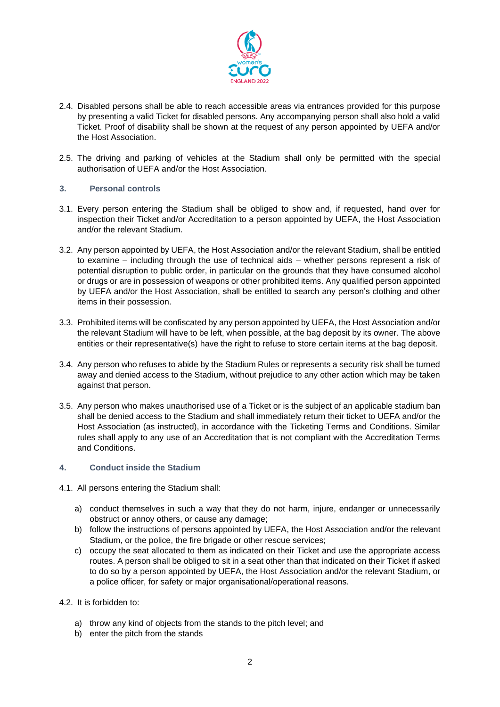

- 2.4. Disabled persons shall be able to reach accessible areas via entrances provided for this purpose by presenting a valid Ticket for disabled persons. Any accompanying person shall also hold a valid Ticket. Proof of disability shall be shown at the request of any person appointed by UEFA and/or the Host Association.
- 2.5. The driving and parking of vehicles at the Stadium shall only be permitted with the special authorisation of UEFA and/or the Host Association.

## **3. Personal controls**

- 3.1. Every person entering the Stadium shall be obliged to show and, if requested, hand over for inspection their Ticket and/or Accreditation to a person appointed by UEFA, the Host Association and/or the relevant Stadium.
- 3.2. Any person appointed by UEFA, the Host Association and/or the relevant Stadium, shall be entitled to examine – including through the use of technical aids – whether persons represent a risk of potential disruption to public order, in particular on the grounds that they have consumed alcohol or drugs or are in possession of weapons or other prohibited items. Any qualified person appointed by UEFA and/or the Host Association, shall be entitled to search any person's clothing and other items in their possession.
- 3.3. Prohibited items will be confiscated by any person appointed by UEFA, the Host Association and/or the relevant Stadium will have to be left, when possible, at the bag deposit by its owner. The above entities or their representative(s) have the right to refuse to store certain items at the bag deposit.
- 3.4. Any person who refuses to abide by the Stadium Rules or represents a security risk shall be turned away and denied access to the Stadium, without prejudice to any other action which may be taken against that person.
- 3.5. Any person who makes unauthorised use of a Ticket or is the subject of an applicable stadium ban shall be denied access to the Stadium and shall immediately return their ticket to UEFA and/or the Host Association (as instructed), in accordance with the Ticketing Terms and Conditions. Similar rules shall apply to any use of an Accreditation that is not compliant with the Accreditation Terms and Conditions.

## **4. Conduct inside the Stadium**

- 4.1. All persons entering the Stadium shall:
	- a) conduct themselves in such a way that they do not harm, injure, endanger or unnecessarily obstruct or annoy others, or cause any damage;
	- b) follow the instructions of persons appointed by UEFA, the Host Association and/or the relevant Stadium, or the police, the fire brigade or other rescue services;
	- c) occupy the seat allocated to them as indicated on their Ticket and use the appropriate access routes. A person shall be obliged to sit in a seat other than that indicated on their Ticket if asked to do so by a person appointed by UEFA, the Host Association and/or the relevant Stadium, or a police officer, for safety or major organisational/operational reasons.
- 4.2. It is forbidden to:
	- a) throw any kind of objects from the stands to the pitch level; and
	- b) enter the pitch from the stands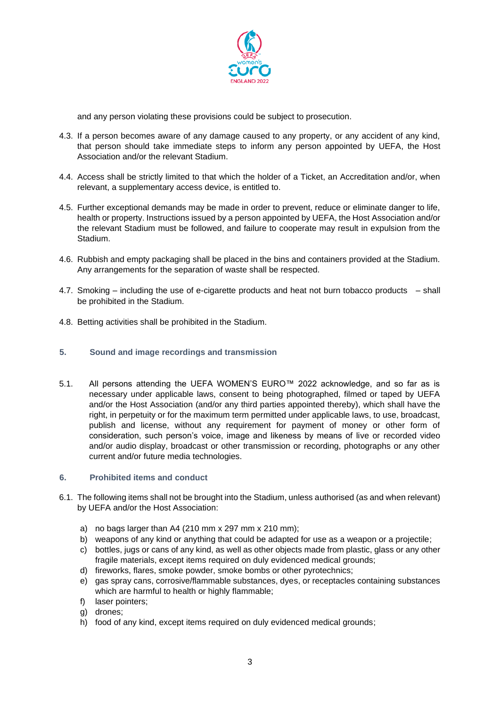

and any person violating these provisions could be subject to prosecution.

- 4.3. If a person becomes aware of any damage caused to any property, or any accident of any kind, that person should take immediate steps to inform any person appointed by UEFA, the Host Association and/or the relevant Stadium.
- 4.4. Access shall be strictly limited to that which the holder of a Ticket, an Accreditation and/or, when relevant, a supplementary access device, is entitled to.
- 4.5. Further exceptional demands may be made in order to prevent, reduce or eliminate danger to life, health or property. Instructions issued by a person appointed by UEFA, the Host Association and/or the relevant Stadium must be followed, and failure to cooperate may result in expulsion from the Stadium.
- 4.6. Rubbish and empty packaging shall be placed in the bins and containers provided at the Stadium. Any arrangements for the separation of waste shall be respected.
- 4.7. Smoking including the use of e-cigarette products and heat not burn tobacco products shall be prohibited in the Stadium.
- 4.8. Betting activities shall be prohibited in the Stadium.

## **5. Sound and image recordings and transmission**

5.1. All persons attending the UEFA WOMEN'S EURO™ 2022 acknowledge, and so far as is necessary under applicable laws, consent to being photographed, filmed or taped by UEFA and/or the Host Association (and/or any third parties appointed thereby), which shall have the right, in perpetuity or for the maximum term permitted under applicable laws, to use, broadcast, publish and license, without any requirement for payment of money or other form of consideration, such person's voice, image and likeness by means of live or recorded video and/or audio display, broadcast or other transmission or recording, photographs or any other current and/or future media technologies.

## **6. Prohibited items and conduct**

- 6.1. The following items shall not be brought into the Stadium, unless authorised (as and when relevant) by UEFA and/or the Host Association:
	- a) no bags larger than A4 (210 mm x 297 mm x 210 mm);
	- b) weapons of any kind or anything that could be adapted for use as a weapon or a projectile;
	- c) bottles, jugs or cans of any kind, as well as other objects made from plastic, glass or any other fragile materials, except items required on duly evidenced medical grounds;
	- d) fireworks, flares, smoke powder, smoke bombs or other pyrotechnics;
	- e) gas spray cans, corrosive/flammable substances, dyes, or receptacles containing substances which are harmful to health or highly flammable;
	- f) laser pointers;
	- g) drones;
	- h) food of any kind, except items required on duly evidenced medical grounds;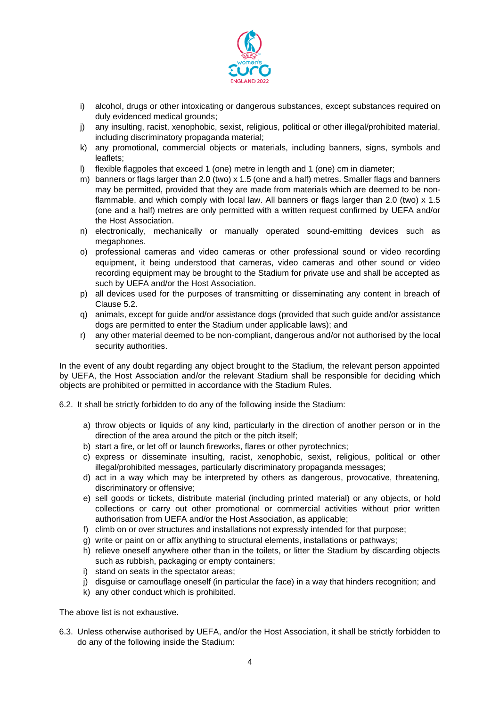

- i) alcohol, drugs or other intoxicating or dangerous substances, except substances required on duly evidenced medical grounds;
- j) any insulting, racist, xenophobic, sexist, religious, political or other illegal/prohibited material, including discriminatory propaganda material;
- k) any promotional, commercial objects or materials, including banners, signs, symbols and leaflets;
- l) flexible flagpoles that exceed 1 (one) metre in length and 1 (one) cm in diameter;
- m) banners or flags larger than 2.0 (two) x 1.5 (one and a half) metres. Smaller flags and banners may be permitted, provided that they are made from materials which are deemed to be nonflammable, and which comply with local law. All banners or flags larger than 2.0 (two) x 1.5 (one and a half) metres are only permitted with a written request confirmed by UEFA and/or the Host Association.
- n) electronically, mechanically or manually operated sound-emitting devices such as megaphones.
- o) professional cameras and video cameras or other professional sound or video recording equipment, it being understood that cameras, video cameras and other sound or video recording equipment may be brought to the Stadium for private use and shall be accepted as such by UEFA and/or the Host Association.
- p) all devices used for the purposes of transmitting or disseminating any content in breach of Clause 5.2.
- q) animals, except for guide and/or assistance dogs (provided that such guide and/or assistance dogs are permitted to enter the Stadium under applicable laws); and
- r) any other material deemed to be non-compliant, dangerous and/or not authorised by the local security authorities.

In the event of any doubt regarding any object brought to the Stadium, the relevant person appointed by UEFA, the Host Association and/or the relevant Stadium shall be responsible for deciding which objects are prohibited or permitted in accordance with the Stadium Rules.

6.2. It shall be strictly forbidden to do any of the following inside the Stadium:

- a) throw objects or liquids of any kind, particularly in the direction of another person or in the direction of the area around the pitch or the pitch itself;
- b) start a fire, or let off or launch fireworks, flares or other pyrotechnics;
- c) express or disseminate insulting, racist, xenophobic, sexist, religious, political or other illegal/prohibited messages, particularly discriminatory propaganda messages;
- d) act in a way which may be interpreted by others as dangerous, provocative, threatening, discriminatory or offensive;
- e) sell goods or tickets, distribute material (including printed material) or any objects, or hold collections or carry out other promotional or commercial activities without prior written authorisation from UEFA and/or the Host Association, as applicable;
- f) climb on or over structures and installations not expressly intended for that purpose;
- g) write or paint on or affix anything to structural elements, installations or pathways;
- h) relieve oneself anywhere other than in the toilets, or litter the Stadium by discarding objects such as rubbish, packaging or empty containers;
- i) stand on seats in the spectator areas;
- j) disguise or camouflage oneself (in particular the face) in a way that hinders recognition; and
- k) any other conduct which is prohibited.

The above list is not exhaustive.

6.3. Unless otherwise authorised by UEFA, and/or the Host Association, it shall be strictly forbidden to do any of the following inside the Stadium: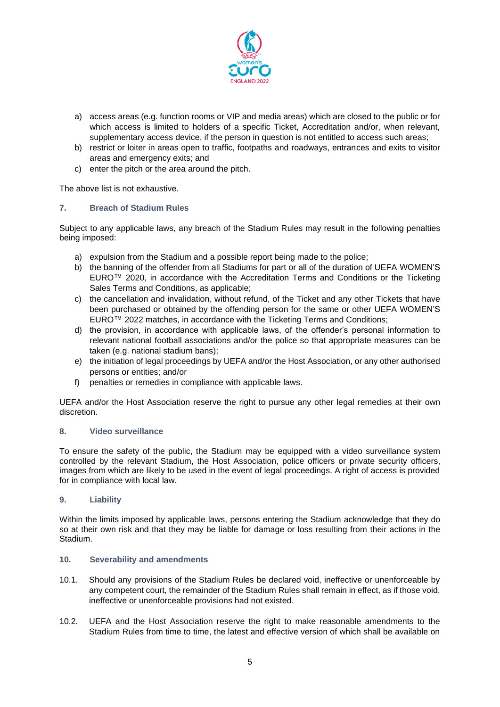

- a) access areas (e.g. function rooms or VIP and media areas) which are closed to the public or for which access is limited to holders of a specific Ticket, Accreditation and/or, when relevant, supplementary access device, if the person in question is not entitled to access such areas;
- b) restrict or loiter in areas open to traffic, footpaths and roadways, entrances and exits to visitor areas and emergency exits; and
- c) enter the pitch or the area around the pitch.

The above list is not exhaustive.

## **7. Breach of Stadium Rules**

Subject to any applicable laws, any breach of the Stadium Rules may result in the following penalties being imposed:

- a) expulsion from the Stadium and a possible report being made to the police;
- b) the banning of the offender from all Stadiums for part or all of the duration of UEFA WOMEN'S EURO™ 2020, in accordance with the Accreditation Terms and Conditions or the Ticketing Sales Terms and Conditions, as applicable;
- c) the cancellation and invalidation, without refund, of the Ticket and any other Tickets that have been purchased or obtained by the offending person for the same or other UEFA WOMEN'S EURO™ 2022 matches, in accordance with the Ticketing Terms and Conditions;
- d) the provision, in accordance with applicable laws, of the offender's personal information to relevant national football associations and/or the police so that appropriate measures can be taken (e.g. national stadium bans);
- e) the initiation of legal proceedings by UEFA and/or the Host Association, or any other authorised persons or entities; and/or
- f) penalties or remedies in compliance with applicable laws.

UEFA and/or the Host Association reserve the right to pursue any other legal remedies at their own discretion.

#### **8. Video surveillance**

To ensure the safety of the public, the Stadium may be equipped with a video surveillance system controlled by the relevant Stadium, the Host Association, police officers or private security officers, images from which are likely to be used in the event of legal proceedings. A right of access is provided for in compliance with local law.

## **9. Liability**

Within the limits imposed by applicable laws, persons entering the Stadium acknowledge that they do so at their own risk and that they may be liable for damage or loss resulting from their actions in the Stadium.

## **10. Severability and amendments**

- 10.1. Should any provisions of the Stadium Rules be declared void, ineffective or unenforceable by any competent court, the remainder of the Stadium Rules shall remain in effect, as if those void, ineffective or unenforceable provisions had not existed.
- 10.2. UEFA and the Host Association reserve the right to make reasonable amendments to the Stadium Rules from time to time, the latest and effective version of which shall be available on